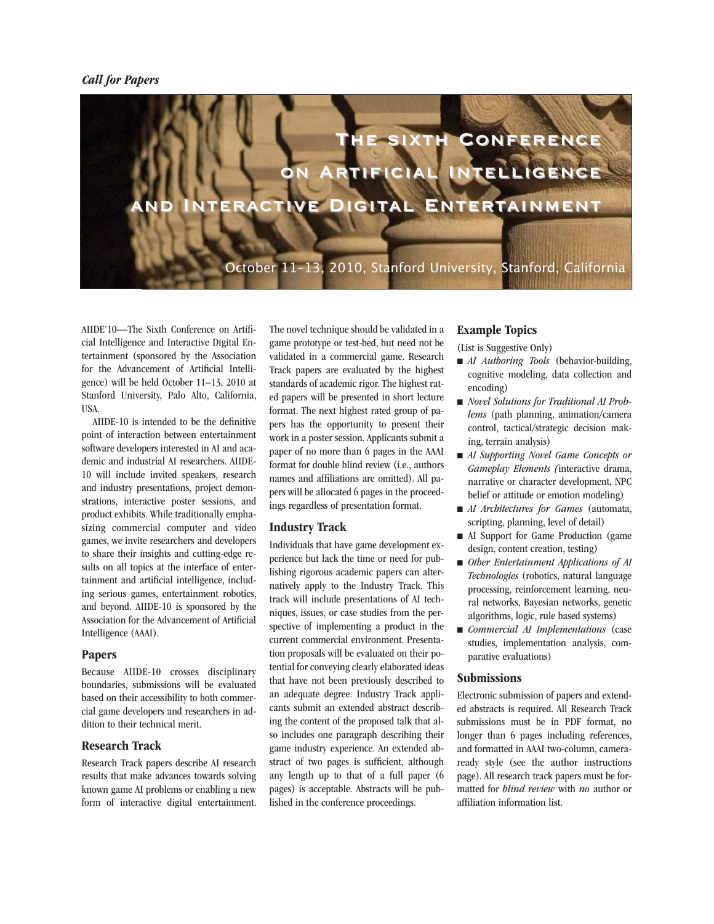

AIIDE'10—The Sixth Conference on Artificial Intelligence and Interactive Digital Entertainment (sponsored by the Association for the Advancement of Artificial Intelligence) will be held October 11–13, 2010 at Stanford University, Palo Alto, California, USA.

AIIDE-10 is intended to be the definitive point of interaction between entertainment software developers interested in AI and academic and industrial AI researchers. AIIDE-10 will include invited speakers, research and industry presentations, project demonstrations, interactive poster sessions, and product exhibits. While traditionally emphasizing commercial computer and video games, we invite researchers and developers to share their insights and cutting-edge results on all topics at the interface of entertainment and artificial intelligence, including serious games, entertainment robotics, and beyond. AIIDE-10 is sponsored by the Association for the Advancement of Artificial Intelligence (AAAI).

## **Papers**

Because AIIDE-10 crosses disciplinary boundaries, submissions will be evaluated based on their accessibility to both commercial game developers and researchers in addition to their technical merit.

## **Research Track**

Research Track papers describe AI research results that make advances towards solving known game AI problems or enabling a new form of interactive digital entertainment. The novel technique should be validated in a game prototype or test-bed, but need not be validated in a commercial game. Research Track papers are evaluated by the highest standards of academic rigor. The highest rated papers will be presented in short lecture format. The next highest rated group of papers has the opportunity to present their work in a poster session. Applicants submit a paper of no more than 6 pages in the AAAI format for double blind review (i.e., authors names and affiliations are omitted). All papers will be allocated 6 pages in the proceedings regardless of presentation format.

## **Industry Track**

Individuals that have game development experience but lack the time or need for publishing rigorous academic papers can alternatively apply to the Industry Track. This track will include presentations of AI techniques, issues, or case studies from the perspective of implementing a product in the current commercial environment. Presentation proposals will be evaluated on their potential for conveying clearly elaborated ideas that have not been previously described to an adequate degree. Industry Track applicants submit an extended abstract describing the content of the proposed talk that also includes one paragraph describing their game industry experience. An extended abstract of two pages is sufficient, although any length up to that of a full paper (6 pages) is acceptable. Abstracts will be published in the conference proceedings.

# **Example Topics**

(List is Suggestive Only)

- *AI Authoring Tools* (behavior-building, cognitive modeling, data collection and encoding)
- *Novel Solutions for Traditional AI Problems* (path planning, animation/camera control, tactical/strategic decision making, terrain analysis)
- *AI Supporting Novel Game Concepts or Gameplay Elements (*interactive drama, narrative or character development, NPC belief or attitude or emotion modeling)
- *AI Architectures for Games* (automata, scripting, planning, level of detail)
- n AI Support for Game Production (game design, content creation, testing)
- *Other Entertainment Applications of AI Technologies* (robotics, natural language processing, reinforcement learning, neural networks, Bayesian networks, genetic algorithms, logic, rule based systems)
- <sup>n</sup> *Commercial AI Implementations* (case studies, implementation analysis, comparative evaluations)

## **Submissions**

Electronic submission of papers and extended abstracts is required. All Research Track submissions must be in PDF format, no longer than 6 pages including references, and formatted in AAAI two-column, cameraready style (see the author instructions page). All research track papers must be formatted for *blind review* with *no* author or affiliation information list.